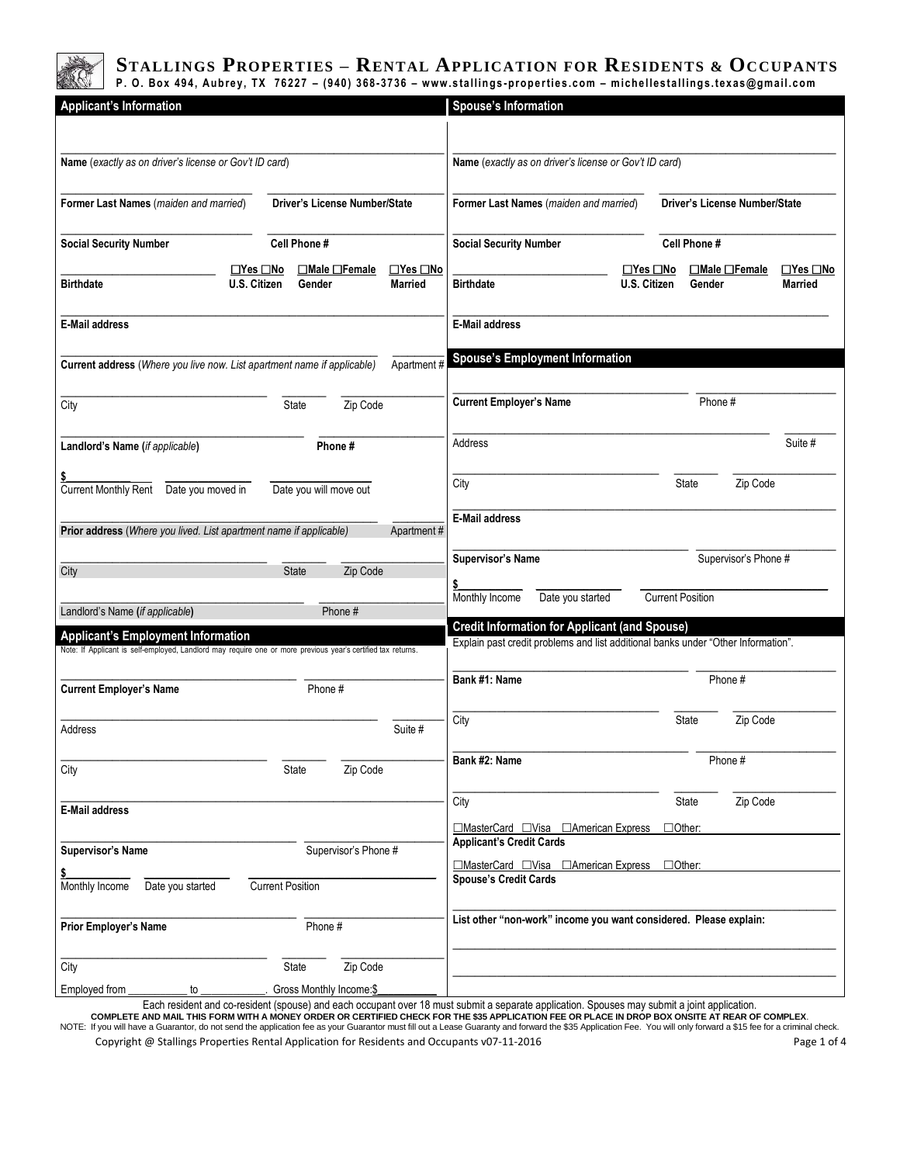

# STALLINGS PROPERTIES – RENTAL APPLICATION FOR RESIDENTS & OCCUPANTS P. O. Box 494, Aubrey, TX 76227 – (940) 368-3736 – www.stallings-properties.com – michellestallings.texas@gmail.com

| <b>Applicant's Information</b>                                                                                                                            |                               |                                        | <b>Spouse's Information</b>                                                                                                               |                                      |                                      |                                        |
|-----------------------------------------------------------------------------------------------------------------------------------------------------------|-------------------------------|----------------------------------------|-------------------------------------------------------------------------------------------------------------------------------------------|--------------------------------------|--------------------------------------|----------------------------------------|
|                                                                                                                                                           |                               |                                        |                                                                                                                                           |                                      |                                      |                                        |
| Name (exactly as on driver's license or Gov't ID card)                                                                                                    |                               |                                        | Name (exactly as on driver's license or Gov't ID card)                                                                                    |                                      |                                      |                                        |
| Former Last Names (maiden and married)                                                                                                                    | Driver's License Number/State |                                        | Former Last Names (maiden and married)                                                                                                    |                                      | <b>Driver's License Number/State</b> |                                        |
| <b>Social Security Number</b>                                                                                                                             | Cell Phone #                  |                                        | <b>Social Security Number</b>                                                                                                             |                                      | Cell Phone #                         |                                        |
| $\Box$ Yes $\Box$ No<br><b>Birthdate</b><br>U.S. Citizen                                                                                                  | □Male □Female<br>Gender       | $\Box$ Yes $\Box$ No<br><b>Married</b> | <b>Birthdate</b>                                                                                                                          | $\Box$ Yes $\Box$ No<br>U.S. Citizen | ⊡Male □Female<br>Gender              | $\Box$ Yes $\Box$ No<br><b>Married</b> |
| <b>E-Mail address</b>                                                                                                                                     |                               |                                        | <b>E-Mail address</b>                                                                                                                     |                                      |                                      |                                        |
| Current address (Where you live now. List apartment name if applicable)                                                                                   |                               | Apartment#                             | <b>Spouse's Employment Information</b>                                                                                                    |                                      |                                      |                                        |
| City                                                                                                                                                      | State<br>Zip Code             |                                        | <b>Current Employer's Name</b>                                                                                                            |                                      | Phone#                               |                                        |
| Landlord's Name (if applicable)                                                                                                                           | Phone#                        |                                        | Address                                                                                                                                   |                                      |                                      | Suite #                                |
| Current Monthly Rent Date you moved in                                                                                                                    | Date you will move out        |                                        | City                                                                                                                                      |                                      | Zip Code<br><b>State</b>             |                                        |
| Prior address (Where you lived. List apartment name if applicable)                                                                                        |                               | Apartment#                             | <b>E-Mail address</b>                                                                                                                     |                                      |                                      |                                        |
|                                                                                                                                                           |                               |                                        |                                                                                                                                           |                                      |                                      |                                        |
| City                                                                                                                                                      | <b>State</b><br>Zip Code      |                                        | <b>Supervisor's Name</b>                                                                                                                  |                                      | Supervisor's Phone #                 |                                        |
|                                                                                                                                                           |                               |                                        | Monthly Income<br>Date you started                                                                                                        | <b>Current Position</b>              |                                      |                                        |
| Landlord's Name (if applicable)                                                                                                                           | Phone #                       |                                        |                                                                                                                                           |                                      |                                      |                                        |
| <b>Applicant's Employment Information</b><br>Note: If Applicant is self-employed, Landlord may require one or more previous year's certified tax returns. |                               |                                        | <b>Credit Information for Applicant (and Spouse)</b><br>Explain past credit problems and list additional banks under "Other Information". |                                      |                                      |                                        |
| Current Employer's Name                                                                                                                                   | Phone #                       |                                        | Bank #1: Name                                                                                                                             |                                      | Phone #                              |                                        |
| Address                                                                                                                                                   |                               | Suite #                                | City                                                                                                                                      |                                      | <b>State</b><br>Zip Code             |                                        |
| City                                                                                                                                                      | Zip Code<br>State             |                                        | Bank #2: Name                                                                                                                             |                                      | Phone #                              |                                        |
| <b>E-Mail address</b>                                                                                                                                     |                               |                                        | City                                                                                                                                      |                                      | State<br>Zip Code                    |                                        |
|                                                                                                                                                           |                               |                                        | □MasterCard □Visa □American Express<br><b>Applicant's Credit Cards</b>                                                                    | □Other:                              |                                      |                                        |
| <b>Supervisor's Name</b>                                                                                                                                  | Supervisor's Phone #          |                                        |                                                                                                                                           |                                      |                                      |                                        |
| Monthly Income<br>Date you started                                                                                                                        | <b>Current Position</b>       |                                        | □MasterCard □Visa □American Express<br><b>Spouse's Credit Cards</b>                                                                       | $\Box$ Other:                        |                                      |                                        |
|                                                                                                                                                           |                               |                                        |                                                                                                                                           |                                      |                                      |                                        |
| Prior Employer's Name                                                                                                                                     | Phone #                       |                                        | List other "non-work" income you want considered. Please explain:                                                                         |                                      |                                      |                                        |
| City                                                                                                                                                      | Zip Code<br>State             |                                        |                                                                                                                                           |                                      |                                      |                                        |
| Employed from<br>to                                                                                                                                       | Gross Monthly Income:\$       |                                        |                                                                                                                                           |                                      |                                      |                                        |

Each resident and co-resident (spouse) and each occupant over 18 must submit a separate application. Spouses may submit a joint application.<br>COMPLETE AND MAIL THIS FORM WITH A MONEY ORDER OR CERTIFIED CHECK FOR THE \$35 APP NOTE: If you will have a Guarantor, do not send the application fee as your Guarantor must fill out a Lease Guaranty and forward the \$35 Application Fee. You will only forward a \$15 fee for a criminal check.

Copyright @ Stallings Properties Rental Application for Residents and Occupants v07-11-2016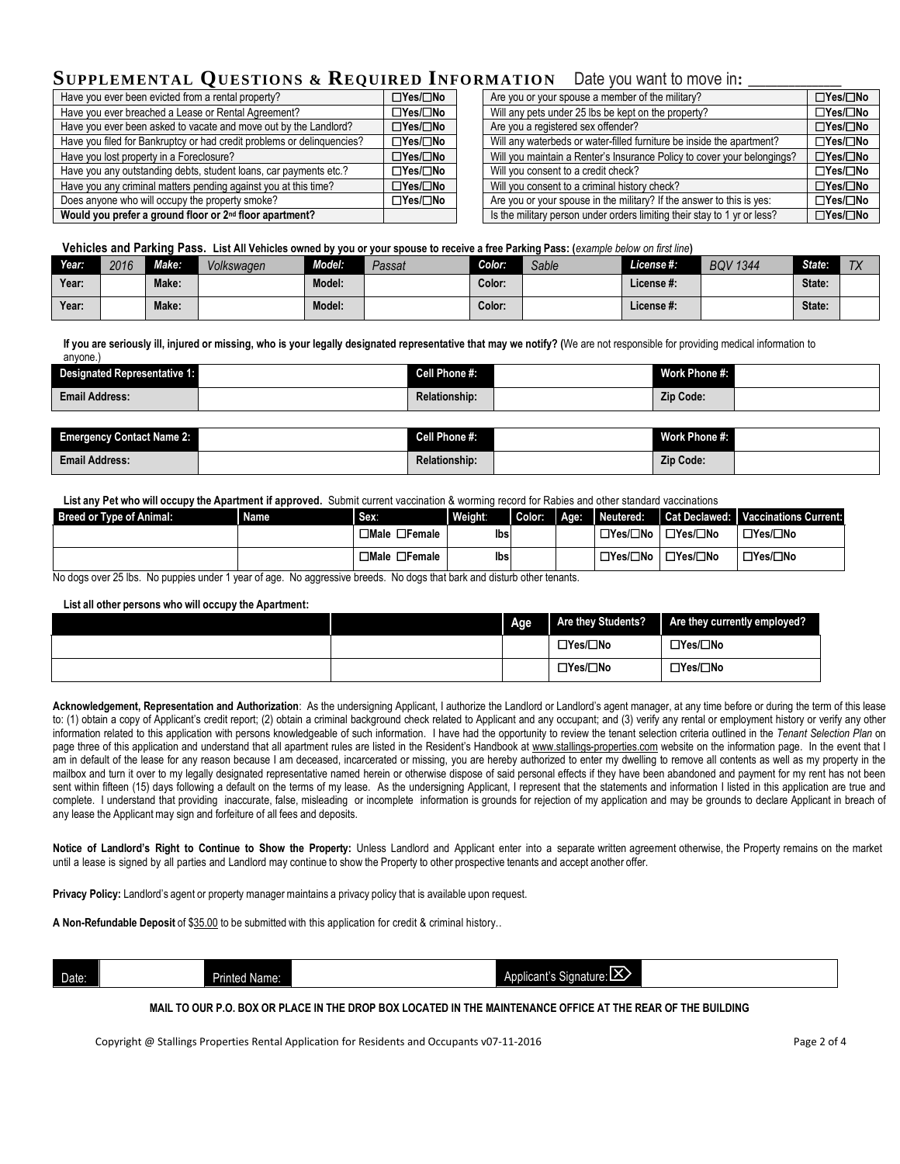# **SUPPLEMENTAL OUESTIONS & REQUIRED INFORMATION** Date you want to move in:

| Have you ever been evicted from a rental property?                     | $\Box$ Yes/ $\Box$ No | Are you or your spouse a member of the military?                         | □Yes/□No              |
|------------------------------------------------------------------------|-----------------------|--------------------------------------------------------------------------|-----------------------|
| Have you ever breached a Lease or Rental Agreement?                    | ⊟Yes/□No              | Will any pets under 25 lbs be kept on the property?                      | □Yes/□No              |
| Have you ever been asked to vacate and move out by the Landlord?       | $\Box$ Yes/ $\Box$ No | Are you a registered sex offender?                                       | $\Box$ Yes/ $\Box$ No |
| Have you filed for Bankruptcy or had credit problems or delinquencies? | □Yes/□No              | Will any waterbeds or water-filled furniture be inside the apartment?    | □Yes/□No              |
| Have you lost property in a Foreclosure?                               | $\Box$ Yes/ $\Box$ No | Will you maintain a Renter's Insurance Policy to cover your belongings?  | $\Box$ Yes/ $\Box$ No |
| Have you any outstanding debts, student loans, car payments etc.?      | □Yes/□No              | Will you consent to a credit check?                                      | □Yes/□No              |
| Have you any criminal matters pending against you at this time?        | $\Box$ Yes/ $\Box$ No | Will you consent to a criminal history check?                            | $\Box$ Yes/ $\Box$ No |
| Does anyone who will occupy the property smoke?                        | ⊟Yes/□No              | Are you or your spouse in the military? If the answer to this is yes:    | □Yes/□No              |
| Would you prefer a ground floor or 2 <sup>nd</sup> floor apartment?    |                       | Is the military person under orders limiting their stay to 1 yr or less? | □Yes/□No              |

| $\frac{1}{2}$                                                            |                       |
|--------------------------------------------------------------------------|-----------------------|
| Are you or your spouse a member of the military?                         | □Yes/□No              |
| Will any pets under 25 lbs be kept on the property?                      | □Yes/□No              |
| Are you a registered sex offender?                                       | $\Box$ Yes/ $\Box$ No |
| Will any waterbeds or water-filled furniture be inside the apartment?    | □Yes/□No              |
| Will you maintain a Renter's Insurance Policy to cover your belongings?  | □Yes/□No              |
| Will you consent to a credit check?                                      | □Yes/□No              |
| Will you consent to a criminal history check?                            | $\Box$ Yes/ $\Box$ No |
| Are you or your spouse in the military? If the answer to this is yes:    | □Yes/□No              |
| Is the military nerson under orders limiting their stay to 1 yr or less? | $\Box$ Yes/ $\Box$ No |

 **Vehicles and Parking Pass. List All Vehicles owned by you or your spouse to receive a free Parking Pass: (***example below on first line***)**

| Year: | 2016 | Make: | Volkswagen | Model: | Passat | Color: | Sable | <i><b>License</b></i> #: | <b>BOV 1344</b> | State: | T <sub>V</sub><br>$\overline{1}$ |
|-------|------|-------|------------|--------|--------|--------|-------|--------------------------|-----------------|--------|----------------------------------|
| Year: |      | Make: |            | Model: |        | Color: |       | License #:               |                 | State: |                                  |
| Year: |      | Make: |            | Model: |        | Color: |       | License #:               |                 | State: |                                  |

**If you are seriously ill, injured or missing, who is your legally designated representative that may we notify? (**We are not responsible for providing medical information to anyone.)

| <b>Designated Representative 1:</b> | Cell Phone #:        | Work Phone #:    |  |
|-------------------------------------|----------------------|------------------|--|
| <b>Email Address:</b>               | <b>Relationship:</b> | <b>Zip Code:</b> |  |

| <b>Emergency Contact Name 2:</b> | Cell Phone #:        | Work Phone #: |  |
|----------------------------------|----------------------|---------------|--|
| <b>Email Address:</b>            | <b>Relationship:</b> | Zip Code:     |  |

**List any Pet who will occupy the Apartment if approved.** Submit current vaccination & worming record for Rabies and other standard vaccinations

| <b>Breed or Type of Animal:</b> | <b>Name</b> | Sex:                      | Weight: | Color: | LI Age: | Neutered:                                     | Cat Declawed:   Vaccinations Current: |
|---------------------------------|-------------|---------------------------|---------|--------|---------|-----------------------------------------------|---------------------------------------|
|                                 |             | $\Box$ Male $\Box$ Female | lbsi    |        |         | □Yes/□No │□Yes/□No                            | ' □Yes/□No                            |
|                                 |             | $\Box$ Male $\Box$ Female | Ibs     |        |         | $\Box$ Yes/ $\Box$ No   $\Box$ Yes/ $\Box$ No | ⊟Yes/⊟No                              |

No dogs over 25 lbs. No puppies under 1 year of age. No aggressive breeds. No dogs that bark and disturb other tenants.

#### **List all other persons who will occupy the Apartment:**

|  | Age | Are they Students? | Are they currently employed? |
|--|-----|--------------------|------------------------------|
|  |     | ⊡Yes/□No           | □Yes/□No                     |
|  |     | ⊟Yes/□No           | $\Box$ Yes/ $\Box$ No        |

Acknowledgement, Representation and Authorization: As the undersigning Applicant, I authorize the Landlord or Landlord's agent manager, at any time before or during the term of this lease to: (1) obtain a copy of Applicant's credit report; (2) obtain a criminal background check related to Applicant and any occupant; and (3) verify any rental or employment history or verify any other information related to this application with persons knowledgeable of such information. I have had the opportunity to review the tenant selection criteria outlined in the *Tenant Selection Plan* on page three of this application and understand that all apartment rules are listed in the Resident's Handbook at [www.stallings-properties.com](http://www.stallings-properties.com/) website on the information page. In the event that I am in default of the lease for any reason because I am deceased, incarcerated or missing, you are hereby authorized to enter my dwelling to remove all contents as well as my property in the mailbox and turn it over to my legally designated representative named herein or otherwise dispose of said personal effects if they have been abandoned and payment for my rent has not been sent within fifteen (15) days following a default on the terms of my lease. As the undersigning Applicant, I represent that the statements and information I listed in this application are true and complete. I understand that providing inaccurate, false, misleading or incomplete information is grounds for rejection of my application and may be grounds to declare Applicant in breach of any lease the Applicant may sign and forfeiture of all fees and deposits.

Notice of Landlord's Right to Continue to Show the Property: Unless Landlord and Applicant enter into a separate written agreement otherwise, the Property remains on the market until a lease is signed by all parties and Landlord may continue to show the Property to other prospective tenants and accept another offer.

**Privacy Policy:** Landlord's agent or property managermaintains a privacy policy that is available upon request.

**A Non-Refundable Deposit** of \$35.00 to be submitted with this application for credit & criminal history..

|  | Date: | Name:<br>nrea | --<br>anoti:<br>וימיו<br>៱៲៲៱៱៳+<br>. .<br>$ -$ |
|--|-------|---------------|-------------------------------------------------|
|--|-------|---------------|-------------------------------------------------|

**MAIL TO OUR P.O. BOX OR PLACE IN THE DROP BOX LOCATED IN THE MAINTENANCE OFFICE AT THE REAR OF THE BUILDING**

Copyright @ Stallings Properties Rental Application for Residents and Occupants v07-11-2016 Page 2 of 4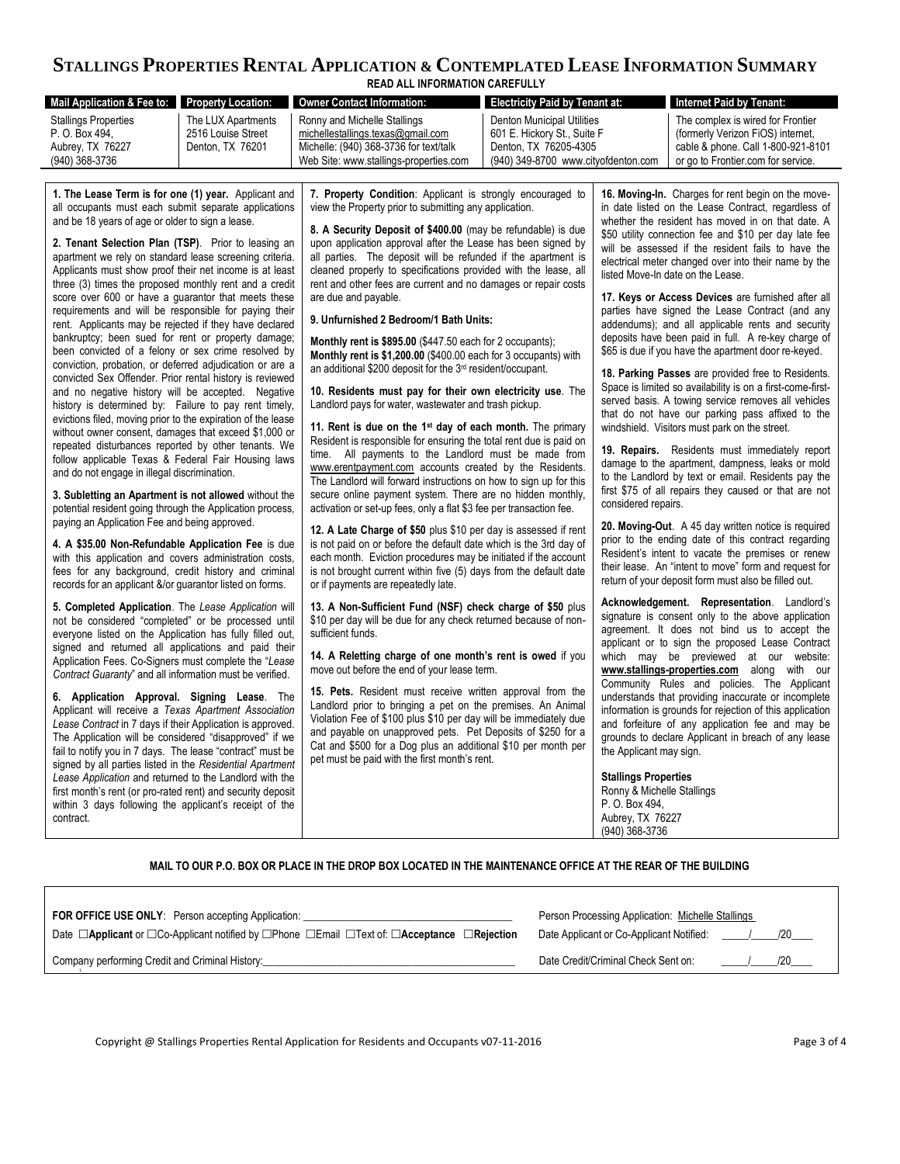### **STALLINGS PROPERTIES RENTAL APPLICATION & CONTEMPLATED LEASE INFORMATION SUMMARY READ ALL INFORMATION CAREFULLY**

l.

**MAIL TO OUR P.O. BOX OR PLACE IN THE DROP BOX LOCATED IN THE MAINTENANCE OFFICE AT THE REAR OF THE BUILDING**

| <b>FOR OFFICE USE ONLY:</b> Person accepting Application:                                                                             | Person Processing Application: Michelle Stallings |
|---------------------------------------------------------------------------------------------------------------------------------------|---------------------------------------------------|
| Date $\Box$ Applicant or $\Box$ Co-Applicant notified by $\Box$ Phone $\Box$ Email $\Box$ Text of: $\Box$ Acceptance $\Box$ Rejection | Date Applicant or Co-Applicant Notified:<br>120   |
| Company performing Credit and Criminal History:                                                                                       | Date Credit/Criminal Check Sent on:<br>/20        |